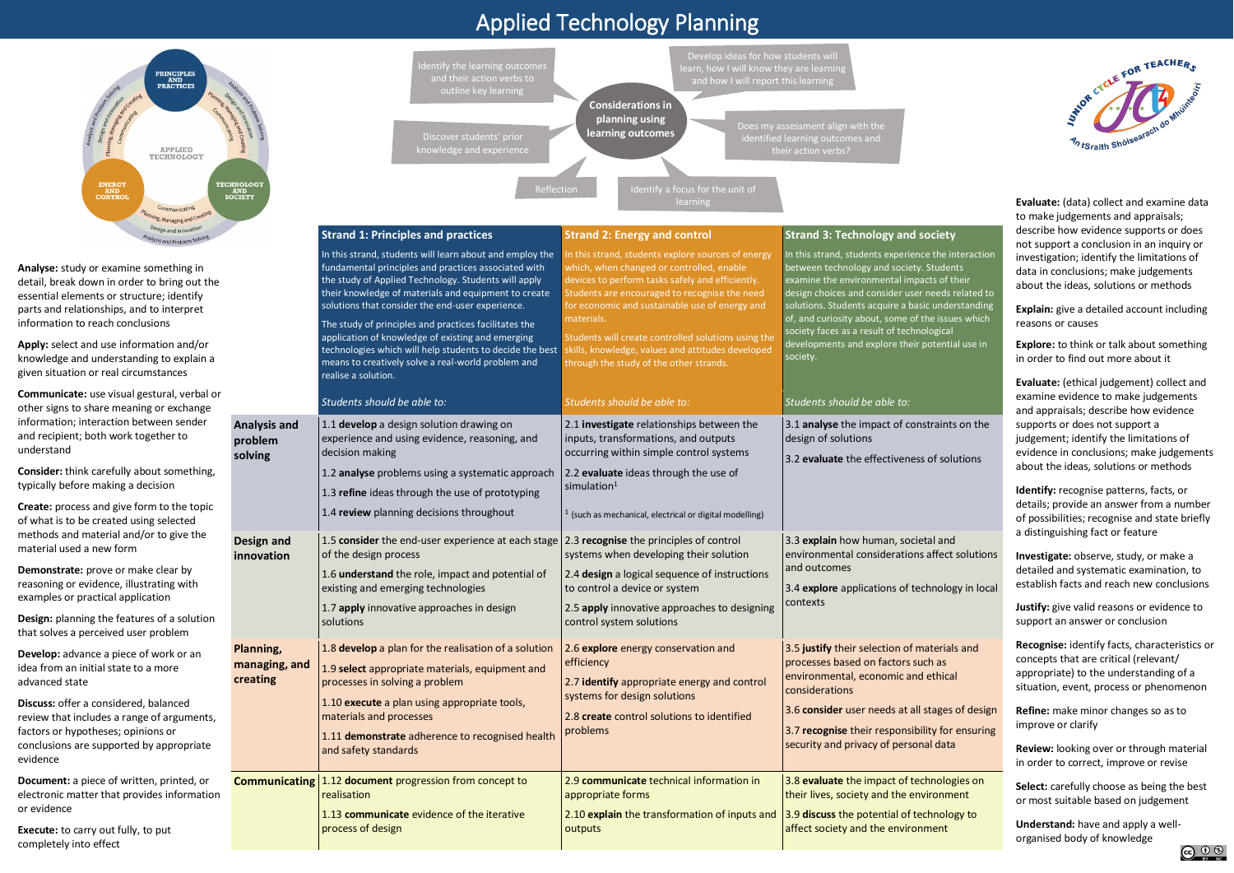## Applied Technology Planning

evidence



**Evaluate:** (data) collect and examine data to make judgements and appraisals; describe how evidence supports or does not support a conclusion in an inquiry or investigation; identify the limitations of data in conclusions; make judgements about the ideas, solutions or methods

**Explain:** give a detailed account including reasons or causes

**Explore:** to think or talk about something in order to find out more about it

**Evaluate:** (ethical judgement) collect and examine evidence to make judgements and appraisals; describe how evidence supports or does not support a judgement; identify the limitations of evidence in conclusions; make judgements about the ideas, solutions or methods

**Identify:** recognise patterns, facts, or details; provide an answer from a number of possibilities; recognise and state briefly a distinguishing fact or feature



**Investigate:** observe, study, or make a detailed and systematic examination, to establish facts and reach new conclusions

**Justify:** give valid reasons or evidence to support an answer or conclusion

**Recognise:** identify facts, characteristics or concepts that are critical (relevant/ appropriate) to the understanding of a situation, event, process or phenomenon

**Refine:** make minor changes so as to improve or clarify

**Review:** looking over or through material in order to correct, improve or revise

**Select:** carefully choose as being the best or most suitable based on judgement

**Understand:** have and apply a wellorganised body of knowledge